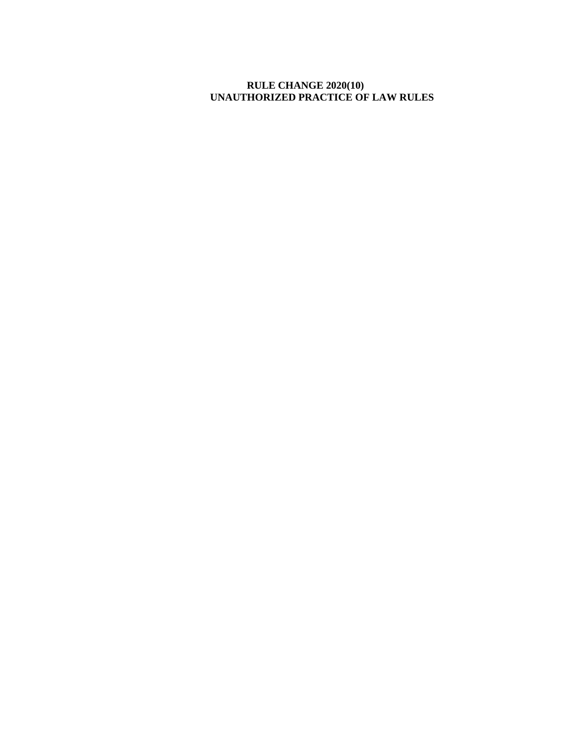## **RULE CHANGE 2020(10) UNAUTHORIZED PRACTICE OF LAW RULES**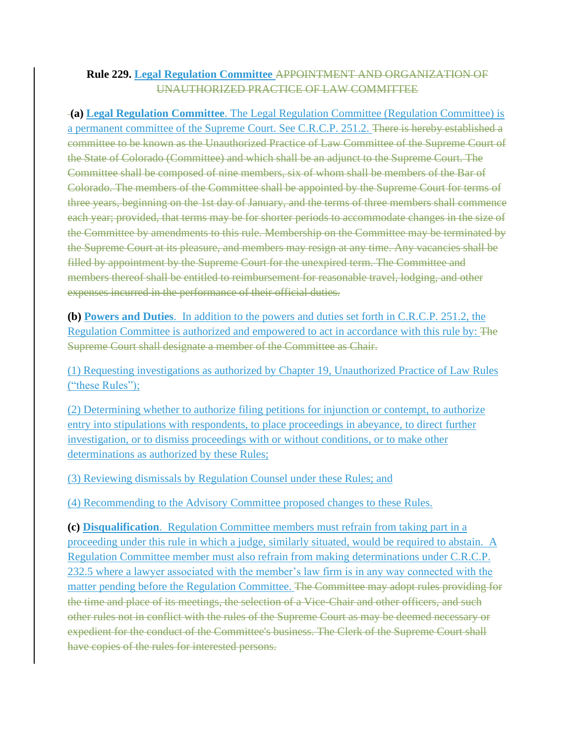## **Rule 229. Legal Regulation Committee** APPOINTMENT AND ORGANIZATION OF UNAUTHORIZED PRACTICE OF LAW COMMITTEE

**(a) Legal Regulation Committee**. The Legal Regulation Committee (Regulation Committee) is a permanent committee of the Supreme Court. See C.R.C.P. 251.2. There is hereby established a committee to be known as the Unauthorized Practice of Law Committee of the Supreme Court of the State of Colorado (Committee) and which shall be an adjunct to the Supreme Court. The Committee shall be composed of nine members, six of whom shall be members of the Bar of Colorado. The members of the Committee shall be appointed by the Supreme Court for terms of three years, beginning on the 1st day of January, and the terms of three members shall commence each year; provided, that terms may be for shorter periods to accommodate changes in the size of the Committee by amendments to this rule. Membership on the Committee may be terminated by the Supreme Court at its pleasure, and members may resign at any time. Any vacancies shall be filled by appointment by the Supreme Court for the unexpired term. The Committee and members thereof shall be entitled to reimbursement for reasonable travel, lodging, and other expenses incurred in the performance of their official duties.

**(b) Powers and Duties**. In addition to the powers and duties set forth in C.R.C.P. 251.2, the Regulation Committee is authorized and empowered to act in accordance with this rule by: The Supreme Court shall designate a member of the Committee as Chair.

(1) Requesting investigations as authorized by Chapter 19, Unauthorized Practice of Law Rules ("these Rules");

(2) Determining whether to authorize filing petitions for injunction or contempt, to authorize entry into stipulations with respondents, to place proceedings in abeyance, to direct further investigation, or to dismiss proceedings with or without conditions, or to make other determinations as authorized by these Rules;

(3) Reviewing dismissals by Regulation Counsel under these Rules; and

(4) Recommending to the Advisory Committee proposed changes to these Rules.

**(c) Disqualification**. Regulation Committee members must refrain from taking part in a proceeding under this rule in which a judge, similarly situated, would be required to abstain. A Regulation Committee member must also refrain from making determinations under C.R.C.P. 232.5 where a lawyer associated with the member's law firm is in any way connected with the matter pending before the Regulation Committee. The Committee may adopt rules providing for the time and place of its meetings, the selection of a Vice-Chair and other officers, and such other rules not in conflict with the rules of the Supreme Court as may be deemed necessary or expedient for the conduct of the Committee's business. The Clerk of the Supreme Court shall have copies of the rules for interested persons.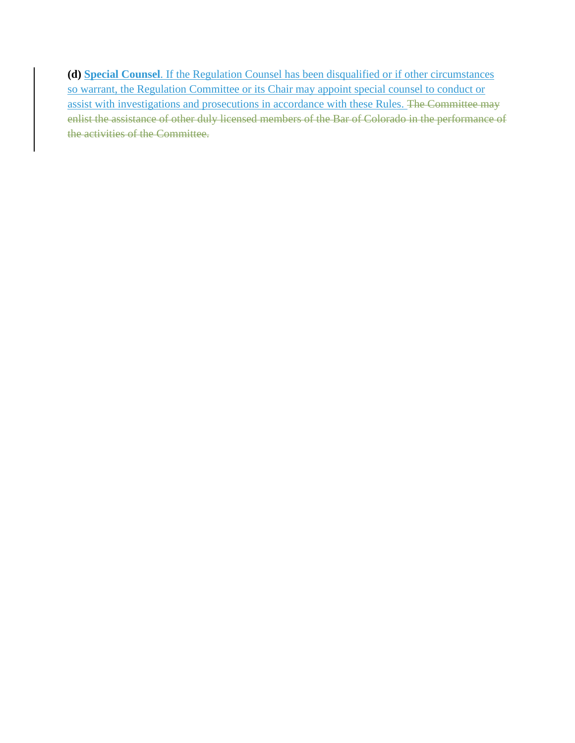**(d) Special Counsel**. If the Regulation Counsel has been disqualified or if other circumstances so warrant, the Regulation Committee or its Chair may appoint special counsel to conduct or assist with investigations and prosecutions in accordance with these Rules. The Committee may enlist the assistance of other duly licensed members of the Bar of Colorado in the performance of the activities of the Committee.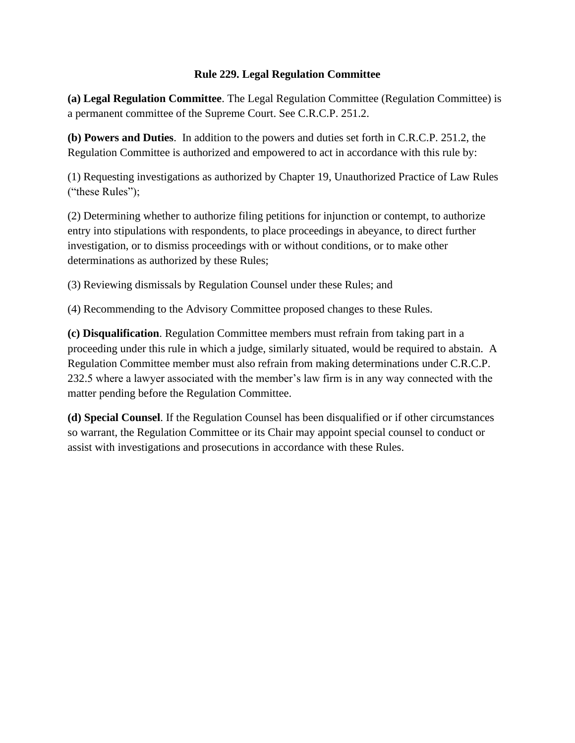## **Rule 229. Legal Regulation Committee**

**(a) Legal Regulation Committee**. The Legal Regulation Committee (Regulation Committee) is a permanent committee of the Supreme Court. See C.R.C.P. 251.2.

**(b) Powers and Duties**. In addition to the powers and duties set forth in C.R.C.P. 251.2, the Regulation Committee is authorized and empowered to act in accordance with this rule by:

(1) Requesting investigations as authorized by Chapter 19, Unauthorized Practice of Law Rules ("these Rules");

(2) Determining whether to authorize filing petitions for injunction or contempt, to authorize entry into stipulations with respondents, to place proceedings in abeyance, to direct further investigation, or to dismiss proceedings with or without conditions, or to make other determinations as authorized by these Rules;

(3) Reviewing dismissals by Regulation Counsel under these Rules; and

(4) Recommending to the Advisory Committee proposed changes to these Rules.

**(c) Disqualification**. Regulation Committee members must refrain from taking part in a proceeding under this rule in which a judge, similarly situated, would be required to abstain. A Regulation Committee member must also refrain from making determinations under C.R.C.P. 232.5 where a lawyer associated with the member's law firm is in any way connected with the matter pending before the Regulation Committee.

**(d) Special Counsel**. If the Regulation Counsel has been disqualified or if other circumstances so warrant, the Regulation Committee or its Chair may appoint special counsel to conduct or assist with investigations and prosecutions in accordance with these Rules.